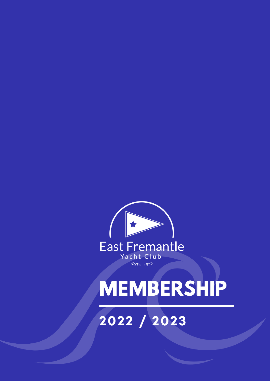

# **MEMBERSHIP**

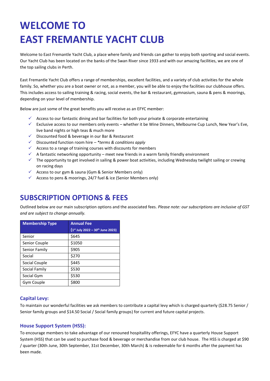## **WELCOME TO EAST FREMANTLE YACHT CLUB**

Welcome to East Fremantle Yacht Club, a place where family and friends can gather to enjoy both sporting and social events. Our Yacht Club has been located on the banks of the Swan River since 1933 and with our amazing facilities, we are one of the top sailing clubs in Perth.

East Fremantle Yacht Club offers a range of memberships, excellent facilities, and a variety of club activities for the whole family. So, whether you are a boat owner or not, as a member, you will be able to enjoy the facilities our clubhouse offers. This includes access to sailing training & racing, social events, the bar & restaurant, gymnasium, sauna & pens & moorings, depending on your level of membership.

Below are just some of the great benefits you will receive as an EFYC member:

- $\checkmark$  Access to our fantastic dining and bar facilities for both your private & corporate entertaining
- ✓ Exclusive access to our members only events whether it be Wine Dinners, Melbourne Cup Lunch, New Year's Eve, live band nights or high teas & much more
- ✓ Discounted food & beverage in our Bar & Restaurant
- ✓ Discounted function room hire *– \*terms & conditions apply*
- $\checkmark$  Access to a range of training courses with discounts for members
- $\checkmark$  A fantastic networking opportunity meet new friends in a warm family friendly environment
- $\checkmark$  The opportunity to get involved in sailing & power boat activities, including Wednesday twilight sailing or crewing on racing days
- ✓ Access to our gym & sauna (Gym & Senior Members only)
- $\checkmark$  Access to pens & moorings, 24/7 fuel & ice (Senior Members only)

## **SUBSCRIPTION OPTIONS & FEES**

Outlined below are our main subscription options and the associated fees. *Please note: our subscriptions are inclusive of GST and are subject to change annually.* 

| <b>Membership Type</b> | <b>Annual Fee</b>                |
|------------------------|----------------------------------|
|                        | (1st July 2022 - 30th June 2023) |
| Senior                 | \$645                            |
| Senior Couple          | \$1050                           |
| Senior Family          | \$905                            |
| Social                 | \$270                            |
| Social Couple          | \$445                            |
| Social Family          | \$530                            |
| Social Gym             | \$530                            |
| Gym Couple             | \$800                            |

#### **Capital Levy:**

To maintain our wonderful facilities we ask members to contribute a capital levy which is charged quarterly (\$28.75 Senior / Senior family groups and \$14.50 Social / Social family groups) for current and future capital projects.

#### **House Support System (HSS):**

To encourage members to take advantage of our renouned hospitallity offerings, EFYC have a quarterly House Support System (HSS) that can be used to purchase food & beverage or merchandise from our club house. The HSS is charged at \$90 / quarter (30th June, 30th September, 31st December, 30th March) & is redeemable for 6 months after the payment has been made.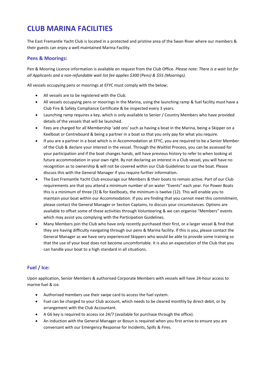## **CLUB MARINA FACILITIES**

The East Fremantle Yacht Club is located in a protected and pristine area of the Swan River where our members & their guests can enjoy a well maintained Marina Facility.

#### **Pens & Moorings:**

Pen & Mooring Licence information is available on request from the Club Office. *Please note: There is a wait list for all Applicants and a non-refundable wait list fee applies \$300 (Pens) & \$55 (Moorings).*

All vessels occupying pens or moorings at EFYC must comply with the below;

- All vessels are to be registered with the Club.
- All vessels occupying pens or moorings in the Marina, using the launching ramp & fuel facility must have a Club Fire & Safety Compliance Certificate & be inspected every 3 years.
- Launching ramp requires a key, which is only available to Senior / Country Members who have provided details of the vessels that will be launched.
- Fees are charged for all Membership 'add ons' such as having a boat in the Marina, being a Skipper on a Keelboat or Centreboard & being a partner in a boat so that you only pay for what you require.
- If you are a partner in a boat which is in Accommodation at EFYC, you are required to be a Senior Member of the Club & declare your interest in the vessel. Through the Waitlist Process, you can be assessed for your participation and if the boat changes hands, will have previous history to refer to when looking at future accommodation in your own right. By not declaring an interest in a Club vessel, you will have no recognition as to ownership & will not be covered within our Club Guidelines to use the boat. Please discuss this with the General Manager if you require further information.
- The East Fremantle Yacht Club encourage our Members & their boats to remain active. Part of our Club requirements are that you attend a minimum number of on water "Events" each year. For Power Boats this is a minimum of three (3) & for Keelboats, the minimum is twelve (12). This will enable you to maintain your boat within our Accommodation. If you are finding that you cannot meet this commitment, please contact the General Manager or Section Captains, to discuss your circumstances. Options are available to offset some of these activities through Volunteering & we can organise "Members" events which may assist you complying with the Participation Guidelines.
- Many Members join the Club who have only recently purchased their first, or a larger vessel & find that they are having difficulty navigating through our pens & Marina facility. If this is you, please contact the General Manager as we have very experienced Skippers who would be able to provide some training so that the use of your boat does not become uncomfortable. It is also an expectation of the Club that you can handle your boat to a high standard in all situations.

## **Fuel / Ice:**

Upon application, Senior Members & authorised Corporate Members with vessels will have 24-hour access to marine fuel & ice.

- Authorised members use their swipe card to access the fuel system.
- Fuel can be charged to your Club account, which needs to be cleared monthly by direct debit, or by arrangement with the Club Accountant.
- A G6 key is required to access ice 24/7 (available for purchase through the office).
- An induction with the General Manager or Bosun is required when you first arrive to ensure you are conversant with our Emergency Response for Incidents, Spills & Fires.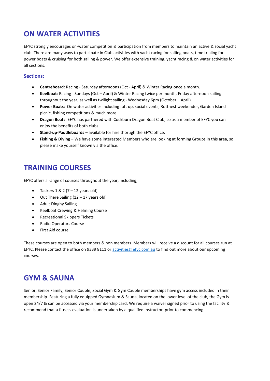## **ON WATER ACTIVITIES**

EFYC strongly encourages on-water competition & participation from members to maintain an active & social yacht club. There are many ways to participate in Club activities with yacht racing for sailing boats, time trialing for power boats & cruising for both sailing & power. We offer extensive training, yacht racing & on water activities for all sections.

### **Sections:**

- **Centreboard**: Racing Saturday afternoons (Oct April) & Winter Racing once a month.
- **Keelboat**: Racing Sundays (Oct April) & Winter Racing twice per month, Friday afternoon sailing throughout the year, as well as twilight sailing - Wednesday 6pm (October – April).
- **Power Boats**: On water activities including raft up, social events, Rottnest weekender, Garden Island picnic, fishing competitions & much more.
- **Dragon Boats**: EFYC has partnered with Cockburn Dragon Boat Club, so as a member of EFYC you can enjoy the benefits of both clubs.
- **Stand-up-Paddleboards** available for hire thorugh the EFYC office.
- **Fishing & Diving**  We have some interested Members who are looking at forming Groups in this area, so please make yourself known via the office.

## **TRAINING COURSES**

EFYC offers a range of courses throughout the year, including;

- Tackers  $1 & 2 (7 12 \text{ years old})$
- Out There Sailing (12 17 years old)
- Adult Dinghy Sailing
- Keelboat Crewing & Helming Course
- Recreational Skippers Tickets
- Radio Operators Course
- First Aid course

These courses are open to both members & non members. Members will receive a discount for all courses run at EFYC. Please contact the office on 9339 8111 or [activities@efyc.com.au](mailto:activities@efyc.com.au) to find out more about our upcoming courses.

## **GYM & SAUNA**

Senior, Senior Family, Senior Couple, Social Gym & Gym Couple memberships have gym access included in their membership. Featuring a fully equipped Gymnasium & Sauna, located on the lower level of the club, the Gym is open 24/7 & can be accessed via your membership card. We require a waiver signed prior to using the facility & recommend that a fitness evaluation is undertaken by a qualified instructor, prior to commencing.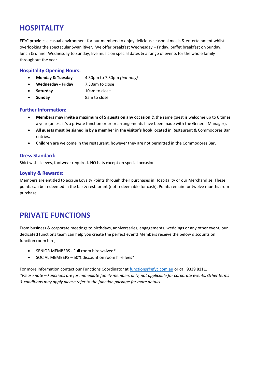## **HOSPITALITY**

EFYC provides a casual environment for our members to enjoy delicious seasonal meals & entertainment whilst overlooking the spectacular Swan River. We offer breakfast Wednesday – Friday, buffet breakfast on Sunday, lunch & dinner Wednesday to Sunday, live music on special dates & a range of events for the whole family throughout the year.

#### **Hospitality Opening Hours:**

- **Monday & Tuesday** 4.30pm to 7.30pm *(bar only)*
- **Wednesday - Friday** 7.30am to close
- **Saturday** 10am to close
- **Sunday** 8am to close

#### **Further Information:**

- **Members may invite a maximum of 5 guests on any occasion** & the same guest is welcome up to 6 times a year (unless it's a private function or prior arrangements have been made with the General Manager).
- **All guests must be signed in by a member in the visitor's book** located in Restaurant & Commodores Bar entries.
- **Children** are welcome in the restaurant, however they are not permitted in the Commodores Bar.

#### **Dress Standard:**

Shirt with sleeves, footwear required, NO hats except on special occasions.

#### **Loyalty & Rewards:**

Members are entitled to accrue Loyalty Points through their purchases in Hospitality or our Merchandise. These points can be redeemed in the bar & restaurant (not redeemable for cash). Points remain for twelve months from purchase.

## **PRIVATE FUNCTIONS**

From business & corporate meetings to birthdays, anniversaries, engagements, weddings or any other event, our dedicated functions team can help you create the perfect event! Members receive the below discounts on function room hire;

- SENIOR MEMBERS Full room hire waived\*
- SOCIAL MEMBERS 50% discount on room hire fees\*

For more information contact our Functions Coordinator at [functions@efyc.com.au](mailto:functions@efyc.com.au) or call 9339 8111. *\*Please note – Functions are for immediate family members only, not applicable for corporate events. Other terms & conditions may apply please refer to the function package for more details.*